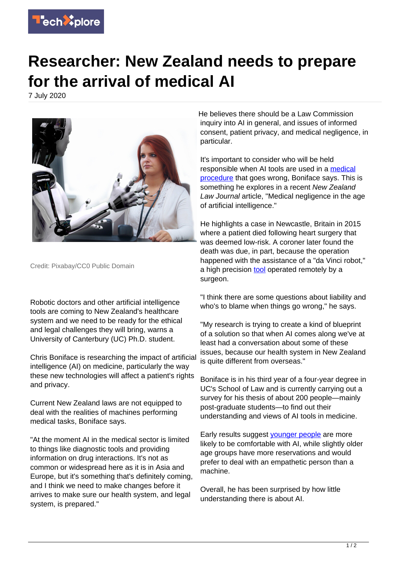

## **Researcher: New Zealand needs to prepare for the arrival of medical AI**

7 July 2020



Credit: Pixabay/CC0 Public Domain

Robotic doctors and other artificial intelligence tools are coming to New Zealand's healthcare system and we need to be ready for the ethical and legal challenges they will bring, warns a University of Canterbury (UC) Ph.D. student.

Chris Boniface is researching the impact of artificial intelligence (AI) on medicine, particularly the way these new technologies will affect a patient's rights and privacy.

Current New Zealand laws are not equipped to deal with the realities of machines performing medical tasks, Boniface says.

"At the moment AI in the medical sector is limited to things like diagnostic tools and providing information on drug interactions. It's not as common or widespread here as it is in Asia and Europe, but it's something that's definitely coming, and I think we need to make changes before it arrives to make sure our health system, and legal system, is prepared."

He believes there should be a Law Commission inquiry into AI in general, and issues of informed consent, patient privacy, and medical negligence, in particular.

It's important to consider who will be held responsible when AI tools are used in a [medical](https://techxplore.com/tags/medical+procedure/) [procedure](https://techxplore.com/tags/medical+procedure/) that goes wrong, Boniface says. This is something he explores in a recent New Zealand Law Journal article, "Medical negligence in the age of artificial intelligence."

He highlights a case in Newcastle, Britain in 2015 where a patient died following heart surgery that was deemed low-risk. A coroner later found the death was due, in part, because the operation happened with the assistance of a "da Vinci robot," a high precision [tool](https://techxplore.com/tags/tool/) operated remotely by a surgeon.

"I think there are some questions about liability and who's to blame when things go wrong." he says.

"My research is trying to create a kind of blueprint of a solution so that when AI comes along we've at least had a conversation about some of these issues, because our health system in New Zealand is quite different from overseas."

Boniface is in his third year of a four-year degree in UC's School of Law and is currently carrying out a survey for his thesis of about 200 people—mainly post-graduate students—to find out their understanding and views of AI tools in medicine.

Early results suggest **[younger people](https://techxplore.com/tags/younger+people/)** are more likely to be comfortable with AI, while slightly older age groups have more reservations and would prefer to deal with an empathetic person than a machine.

Overall, he has been surprised by how little understanding there is about AI.